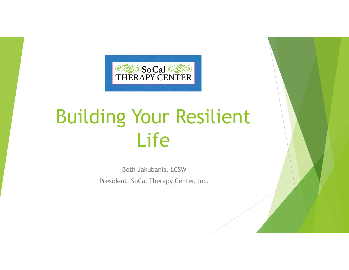

# Building Your Resilient Life

Beth Jakubanis, LCSW President, SoCal Therapy Center, Inc.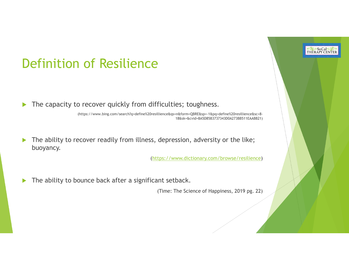#### Definition of Resilience

 $\blacktriangleright$ The capacity to recover quickly from difficulties; toughness.

> (https://www.bing.com/search?q=define%20resillience&qs=n&form=QBRE&sp=-1&pq=define%20resillience&sc=8- 18&sk=&cvid=8A5D85B3737343D0A273BB511EAABB21)

 $\blacktriangleright$ The ability to recover readily from illness, depression, adversity or the like; buoyancy.

(https://www.dictionary.com/browse/resilience)

**EXPESOCalCASS** 

 $\blacktriangleright$ The ability to bounce back after a significant setback.

(Time: The Science of Happiness, 2019 pg. 22)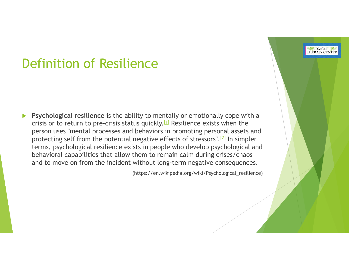#### Definition of Resilience

 $\blacktriangleright$  **Psychological resilience** is the ability to mentally or emotionally cope with a crisis or to return to pre-crisis status quickly.<sup>[1]</sup> Resilience exists when the person uses "mental processes and behaviors in promoting personal assets and protecting self from the potential negative effects of stressors".[2] In simpler terms, psychological resilience exists in people who develop psychological and behavioral capabilities that allow them to remain calm during crises/chaos and to move on from the incident without long-term negative consequences.

(https://en.wikipedia.org/wiki/Psychological\_resilience)

**EXPESOCalSON**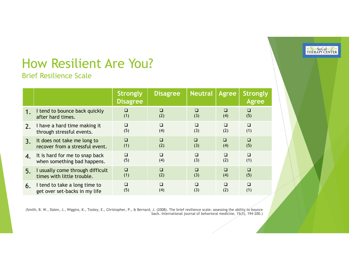

## How Resilient Are You?

Brief Resilience Scale

|    |                                  | <b>Strongly</b><br><b>Disagree</b> | <b>Disagree</b> | <b>Neutral</b> | Agree  | <b>Strongly</b><br>Agree |
|----|----------------------------------|------------------------------------|-----------------|----------------|--------|--------------------------|
|    | I tend to bounce back quickly    | □                                  | ⊓               | □              | Ш      | □                        |
|    | after hard times.                | (1)                                | (2)             | (3)            | (4)    | (5)                      |
| 2. | I have a hard time making it     | $\Box$                             | $\Box$          | $\Box$         | $\Box$ | $\Box$                   |
|    | through stressful events.        | (5)                                | (4)             | (3)            | (2)    | (1)                      |
| 3. | It does not take me long to      | $\Box$                             | □               | □              | □      | □                        |
|    | recover from a stressful event.  | (1)                                | (2)             | (3)            | (4)    | (5)                      |
| 4. | It is hard for me to snap back   | $\Box$                             | □               | □              | □      | $\Box$                   |
|    | when something bad happens.      | (5)                                | (4)             | (3)            | (2)    | (1)                      |
| 5. | I usually come through difficult | $\Box$                             | П               | $\Box$         | □      | □                        |
|    | times with little trouble.       | (1)                                | (2)             | (3)            | (4)    | (5)                      |
| 6. | I tend to take a long time to    | $\Box$                             | □               | □              | П      | $\Box$                   |
|    | get over set-backs in my life    | (5)                                | (4)             | (3)            | (2)    | (1)                      |

(Smith, B. W., Dalen, J., Wiggins, K., Tooley, E., Christopher, P., & Bernard, J. (2008). The brief resilience scale: assessing the ability to bounce back. International journal of behavioral medicine, 15(3), 194-200.)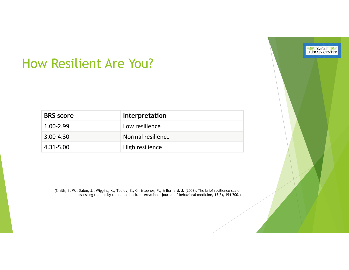#### How Resilient Are You?

| <b>BRS</b> score | Interpretation    |
|------------------|-------------------|
| 1.00-2.99        | Low resilience    |
| 3.00-4.30        | Normal resilience |
| 4.31-5.00        | High resilience   |

**EXPSoCalSXS** 

(Smith, B. W., Dalen, J., Wiggins, K., Tooley, E., Christopher, P., & Bernard, J. (2008). The brief resilience scale: assessing the ability to bounce back. International journal of behavioral medicine, 15(3), 194-200.)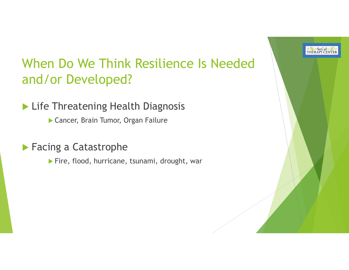

## When Do We Think Resilience Is Needed and/or Developed?

#### ▶ Life Threatening Health Diagnosis

Cancer, Brain Tumor, Organ Failure

#### **Facing a Catastrophe**

**Fire, flood, hurricane, tsunami, drought, war**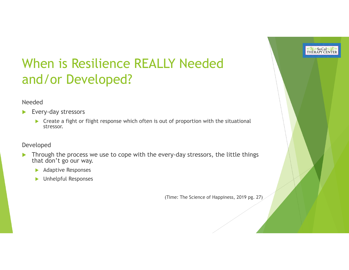

## When is Resilience REALLY Needed and/or Developed?

Needed

- $\blacktriangleright$  Every-day stressors
	- ▶ Create a fight or flight response which often is out of proportion with the situational stressor.

Developed

- $\blacktriangleright$  Through the process we use to cope with the every-day stressors, the little things that don't go our way.
	- $\blacktriangleright$ Adaptive Responses
	- $\blacktriangleright$ Unhelpful Responses

(Time: The Science of Happiness, 2019 pg. 27)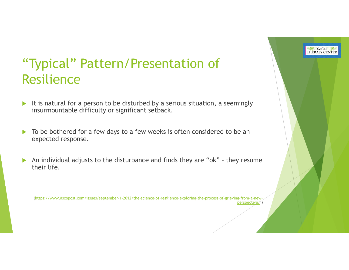

### "Typical" Pattern/Presentation of Resilience

- $\blacktriangleright$  It is natural for a person to be disturbed by a serious situation, a seemingly insurmountable difficulty or significant setback.
- $\blacktriangleright$  To be bothered for a few days to a few weeks is often considered to be an expected response.
- $\blacktriangleright$  An individual adjusts to the disturbance and finds they are "ok" – they resume their life.

(https://www.ascopost.com/issues/september-1-2012/the-science-of-resilience-exploring-the-process-of-grieving-from-a-newperspective/ )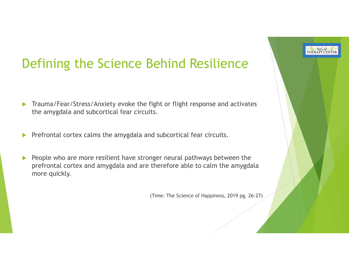## Defining the Science Behind Resilience

- $\blacktriangleright$  Trauma/Fear/Stress/Anxiety evoke the fight or flight response and activates the amygdala and subcortical fear circuits.
- $\blacktriangleright$ Prefrontal cortex calms the amygdala and subcortical fear circuits.
- $\blacktriangleright$  People who are more resilient have stronger neural pathways between the prefrontal cortex and amygdala and are therefore able to calm the amygdala more quickly.

(Time: The Science of Happiness, 2019 pg. 26-27)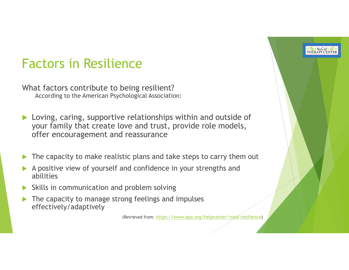## Factors in Resilience

What factors contribute to being resilient? According to the American Psychological Association:

- $\blacktriangleright$  Loving, caring, supportive relationships within and outside of your family that create love and trust, provide role models, offer encouragement and reassurance
- $\blacktriangleright$ The capacity to make realistic plans and take steps to carry them out
- $\blacktriangleright$  A positive view of yourself and confidence in your strengths and abilities
- $\blacktriangleright$ Skills in communication and problem solving
- $\blacktriangleright$  The capacity to manage strong feelings and impulses effectively/adaptively

(Retrieved from: https://www.apa.org/helpcenter/road-resilience)

**EXPESOCalCON**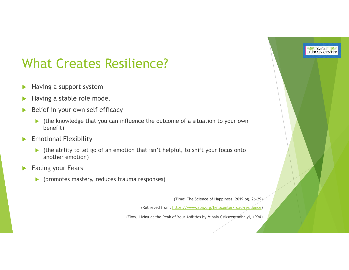## What Creates Resilience?

- $\blacktriangleright$ Having a support system
- $\blacktriangleright$ Having a stable role model
- $\blacktriangleright$  Belief in your own self efficacy
	- (the knowledge that you can influence the outcome of a situation to your own benefit)
- $\blacktriangleright$  Emotional Flexibility
	- $\blacktriangleright$  (the ability to let go of an emotion that isn't helpful, to shift your focus onto another emotion)
- $\blacktriangleright$  Facing your Fears
	- $\blacktriangleright$ (promotes mastery, reduces trauma responses)

(Time: The Science of Happiness, 2019 pg. 26-29)

**EXPESOCalCOM** 

(Retrieved from: https://www.apa.org/helpcenter/road-resilience)

(Flow, Living at the Peak of Your Abilities by Mihaly Csikszentmihalyi, 1994)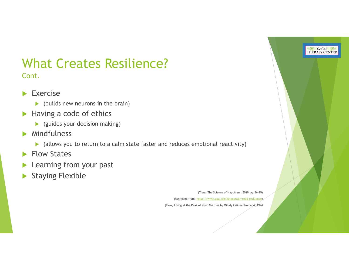#### What Creates Resilience?Cont.

- $\blacktriangleright$  Exercise
	- $\blacktriangleright$  (builds new neurons in the brain)
- $\blacktriangleright$  Having a code of ethics
	- (guides your decision making)
- $\mathbf{L}$  Mindfulness
	- (allows you to return to a calm state faster and reduces emotional reactivity)
- $\mathbf{L}$ Flow States
- $\blacktriangleright$ Learning from your past
- $\blacktriangleright$ Staying Flexible

(Time: The Science of Happiness, 2019 pg. 26-29)

**EXPSoCalGANG** 

(Retrieved from: https://www.apa.org/helpcenter/road-resilience)

(Flow, Living at the Peak of Your Abilities by Mihaly Csikszentmihalyi, 1994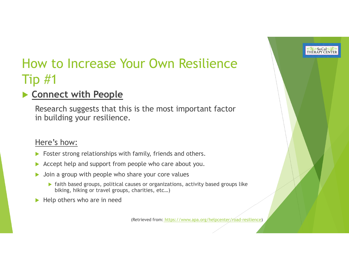#### **Connect with People**

Research suggests that this is the most important factor in building your resilience.

#### Here's how:

- $\blacktriangleright$ Foster strong relationships with family, friends and others.
- $\blacktriangleright$ Accept help and support from people who care about you.
- $\blacktriangleright$  Join a group with people who share your core values
	- **Faith based groups, political causes or organizations, activity based groups like** biking, hiking or travel groups, charities, etc…)
- $\blacktriangleright$  Help others who are in need

(Retrieved from: https://www.apa.org/helpcenter/road-resilience)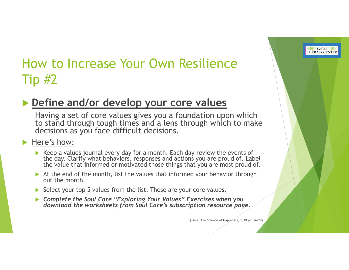#### **Define and/or develop your core values**

Having a set of core values gives you a foundation upon which to stand through tough times and a lens through which to make decisions as you face difficult decisions.

#### Here's how:

- $\blacktriangleright$  Keep a values journal every day for a month. Each day review the events of the day. Clarify what behaviors, responses and actions you are proud of. Label the value that informed or motivated those things that you are most proud of.
- At the end of the month, list the values that informed your behavior through out the month.
- $\triangleright$  Select your top 5 values from the list. These are your core values.
- *Complete the Soul Care "Exploring Your Values" Exercises when you download the worksheets from Soul Care's subscription resource page.*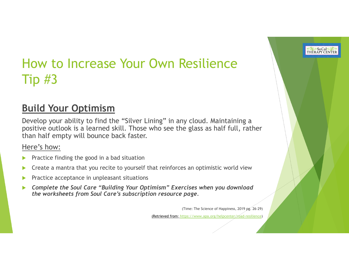#### **Build Your Optimism**

Develop your ability to find the "Silver Lining" in any cloud. Maintaining a positive outlook is a learned skill. Those who see the glass as half full, rather than half empty will bounce back faster.

#### Here's how:

- $\blacktriangleright$ Practice finding the good in a bad situation
- $\blacktriangleright$ Create a mantra that you recite to yourself that reinforces an optimistic world view
- $\blacktriangleright$ Practice acceptance in unpleasant situations
- $\blacktriangleright$  *Complete the Soul Care "Building Your Optimism" Exercises when you download the worksheets from Soul Care's subscription resource page.*

(Time: The Science of Happiness, 2019 pg. 26-29)

(Retrieved from: https://www.apa.org/helpcenter/road-resilience)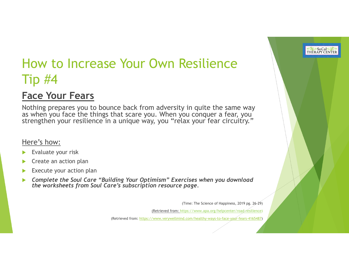#### **Face Your Fears**

Nothing prepares you to bounce back from adversity in quite the same way as when you face the things that scare you. When you conquer a fear, you strengthen your resilience in a unique way, you "relax your fear circuitry."

#### Here's how:

- $\blacktriangleright$ Evaluate your risk
- $\blacktriangleright$ Create an action plan
- $\blacktriangleright$ Execute your action plan
- $\blacktriangleright$  *Complete the Soul Care "Building Your Optimism" Exercises when you download the worksheets from Soul Care's subscription resource page.*

(Time: The Science of Happiness, 2019 pg. 26-29)

(Retrieved from: https://www.apa.org/helpcenter/road-resilience)

(Retrieved from: https://www.verywellmind.com/healthy-ways-to-face-your-fears-4165487)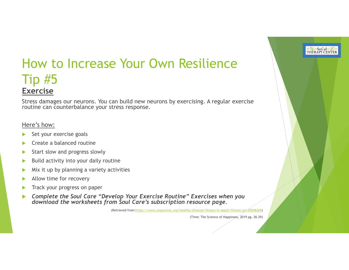#### How to Increase Your Own ResilienceTip #5 **Exercise**

Stress damages our neurons. You can build new neurons by exercising. A regular exercise routine can counterbalance your stress response.

#### Here's how:

- $\blacktriangleright$ Set your exercise goals
- $\blacktriangleright$ Create a balanced routine
- $\blacktriangleright$ Start slow and progress slowly
- $\blacktriangleright$ Build activity into your daily routine
- $\blacktriangleright$ Mix it up by planning a variety activities
- $\blacktriangleright$ Allow time for recovery
- $\blacktriangleright$ Track your progress on paper
- $\blacktriangleright$  *Complete the Soul Care "Develop Your Exercise Routine" Exercises when you download the worksheets from Soul Care's subscription resource page.*

(Retrieved from:https://www.mayoclinic.org/healthy-lifestyle/fitness/in-depth/fitness/art-20048269)

(Time: The Science of Happiness, 2019 pg. 26-29)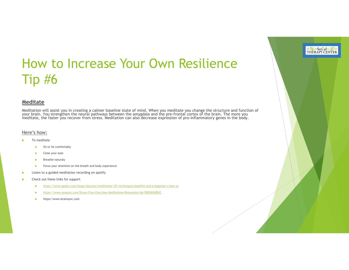#### **Meditate**

Meditation will assist you in creating a calmer baseline state of mind. When you meditate you change the structure and function of your brain. You strengthen the neural pathways between the amygdala and the pre-frontal cortex of the brain. The more you meditate, the faster you recover from stress. Meditation can also decrease expression of pro-inflammatory genes in the body.

#### Here's how:

- ь To meditate
	- ь Sit or lie comfortably
	- × Close your eyes
	- ь Breathe naturaly
	- К Focus your attention on the breath and body experience
- ь Listen to a guided meditation recording on spotify
- ь Check out these links for support
	- ъ https://www.gaiam.com/blogs/discover/meditation-101-techniques-benefits-and-a-beginner-s-how-to
	- × https://www.amazon.com/Stress-Free-Exercises-Meditations-Relaxation/dp/B0026GDBUC
	- ь https//www.brainsync.com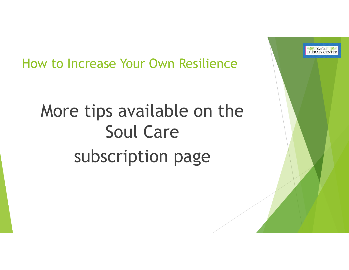

# More tips available on the Soul Care subscription page